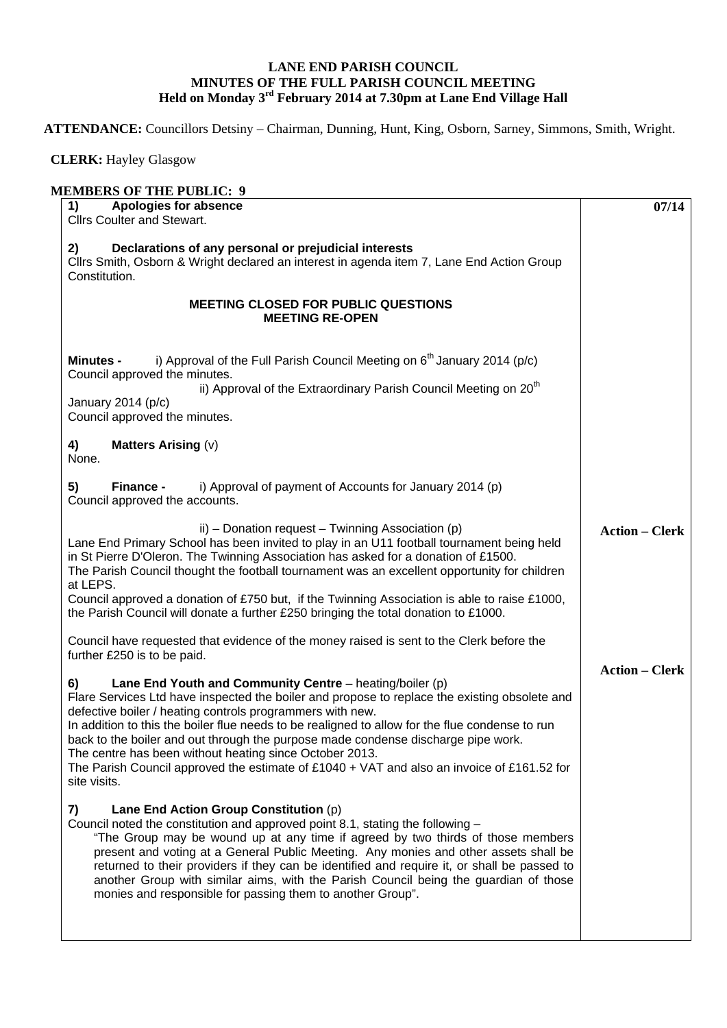## **LANE END PARISH COUNCIL MINUTES OF THE FULL PARISH COUNCIL MEETING Held on Monday 3rd February 2014 at 7.30pm at Lane End Village Hall**

**ATTENDANCE:** Councillors Detsiny – Chairman, Dunning, Hunt, King, Osborn, Sarney, Simmons, Smith, Wright.

 **CLERK:** Hayley Glasgow

| Apologies for absence<br>1)<br><b>Cllrs Coulter and Stewart.</b>                                                                                                                                                                                                                                                                                                                                                                                                                                                                                                                              | 07/14                 |
|-----------------------------------------------------------------------------------------------------------------------------------------------------------------------------------------------------------------------------------------------------------------------------------------------------------------------------------------------------------------------------------------------------------------------------------------------------------------------------------------------------------------------------------------------------------------------------------------------|-----------------------|
| Declarations of any personal or prejudicial interests<br>2)<br>Cllrs Smith, Osborn & Wright declared an interest in agenda item 7, Lane End Action Group<br>Constitution.                                                                                                                                                                                                                                                                                                                                                                                                                     |                       |
| <b>MEETING CLOSED FOR PUBLIC QUESTIONS</b><br><b>MEETING RE-OPEN</b>                                                                                                                                                                                                                                                                                                                                                                                                                                                                                                                          |                       |
| i) Approval of the Full Parish Council Meeting on $6th$ January 2014 (p/c)<br><b>Minutes -</b><br>Council approved the minutes.<br>ii) Approval of the Extraordinary Parish Council Meeting on 20 <sup>th</sup><br>January 2014 (p/c)<br>Council approved the minutes.                                                                                                                                                                                                                                                                                                                        |                       |
| 4)<br><b>Matters Arising (v)</b><br>None.                                                                                                                                                                                                                                                                                                                                                                                                                                                                                                                                                     |                       |
| i) Approval of payment of Accounts for January 2014 (p)<br>5)<br><b>Finance -</b><br>Council approved the accounts.                                                                                                                                                                                                                                                                                                                                                                                                                                                                           |                       |
| ii) – Donation request – Twinning Association (p)<br>Lane End Primary School has been invited to play in an U11 football tournament being held<br>in St Pierre D'Oleron. The Twinning Association has asked for a donation of £1500.<br>The Parish Council thought the football tournament was an excellent opportunity for children<br>at LEPS.<br>Council approved a donation of £750 but, if the Twinning Association is able to raise £1000,<br>the Parish Council will donate a further £250 bringing the total donation to £1000.                                                       | <b>Action – Clerk</b> |
| Council have requested that evidence of the money raised is sent to the Clerk before the<br>further £250 is to be paid.                                                                                                                                                                                                                                                                                                                                                                                                                                                                       |                       |
| Lane End Youth and Community Centre – heating/boiler (p)<br>6)<br>Flare Services Ltd have inspected the boiler and propose to replace the existing obsolete and<br>defective boiler / heating controls programmers with new.<br>In addition to this the boiler flue needs to be realigned to allow for the flue condense to run<br>back to the boiler and out through the purpose made condense discharge pipe work.<br>The centre has been without heating since October 2013.<br>The Parish Council approved the estimate of £1040 + VAT and also an invoice of £161.52 for<br>site visits. | <b>Action – Clerk</b> |
| Lane End Action Group Constitution (p)<br>7)<br>Council noted the constitution and approved point 8.1, stating the following -<br>"The Group may be wound up at any time if agreed by two thirds of those members<br>present and voting at a General Public Meeting. Any monies and other assets shall be<br>returned to their providers if they can be identified and require it, or shall be passed to<br>another Group with similar aims, with the Parish Council being the guardian of those<br>monies and responsible for passing them to another Group".                                |                       |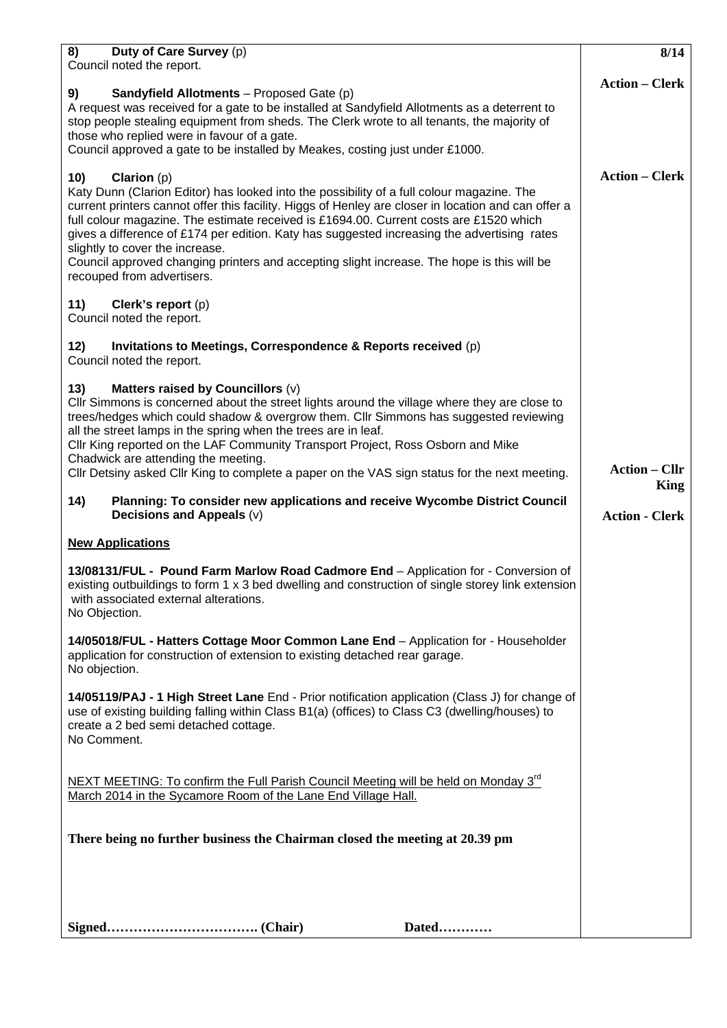| 8)<br>Duty of Care Survey (p)                                                                                                                                                                                                                                                                                                                                                                                                                                                                                                                             | 8/14                  |
|-----------------------------------------------------------------------------------------------------------------------------------------------------------------------------------------------------------------------------------------------------------------------------------------------------------------------------------------------------------------------------------------------------------------------------------------------------------------------------------------------------------------------------------------------------------|-----------------------|
| Council noted the report.<br>9)<br><b>Sandyfield Allotments</b> – Proposed Gate (p)                                                                                                                                                                                                                                                                                                                                                                                                                                                                       | <b>Action – Clerk</b> |
| A request was received for a gate to be installed at Sandyfield Allotments as a deterrent to<br>stop people stealing equipment from sheds. The Clerk wrote to all tenants, the majority of<br>those who replied were in favour of a gate.                                                                                                                                                                                                                                                                                                                 |                       |
| Council approved a gate to be installed by Meakes, costing just under £1000.                                                                                                                                                                                                                                                                                                                                                                                                                                                                              |                       |
| 10)<br><b>Clarion</b> $(p)$<br>Katy Dunn (Clarion Editor) has looked into the possibility of a full colour magazine. The<br>current printers cannot offer this facility. Higgs of Henley are closer in location and can offer a<br>full colour magazine. The estimate received is £1694.00. Current costs are £1520 which<br>gives a difference of £174 per edition. Katy has suggested increasing the advertising rates<br>slightly to cover the increase.<br>Council approved changing printers and accepting slight increase. The hope is this will be | <b>Action – Clerk</b> |
| recouped from advertisers.                                                                                                                                                                                                                                                                                                                                                                                                                                                                                                                                |                       |
| 11)<br>Clerk's report (p)<br>Council noted the report.                                                                                                                                                                                                                                                                                                                                                                                                                                                                                                    |                       |
| Invitations to Meetings, Correspondence & Reports received (p)<br>12)<br>Council noted the report.                                                                                                                                                                                                                                                                                                                                                                                                                                                        |                       |
| Matters raised by Councillors (v)<br>13)<br>Cllr Simmons is concerned about the street lights around the village where they are close to<br>trees/hedges which could shadow & overgrow them. Cllr Simmons has suggested reviewing<br>all the street lamps in the spring when the trees are in leaf.<br>CIIr King reported on the LAF Community Transport Project, Ross Osborn and Mike<br>Chadwick are attending the meeting.<br>Cllr Detsiny asked Cllr King to complete a paper on the VAS sign status for the next meeting.                            | <b>Action – Cllr</b>  |
| 14)<br>Planning: To consider new applications and receive Wycombe District Council                                                                                                                                                                                                                                                                                                                                                                                                                                                                        | King                  |
| Decisions and Appeals (v)                                                                                                                                                                                                                                                                                                                                                                                                                                                                                                                                 | <b>Action - Clerk</b> |
|                                                                                                                                                                                                                                                                                                                                                                                                                                                                                                                                                           |                       |
| <b>New Applications</b>                                                                                                                                                                                                                                                                                                                                                                                                                                                                                                                                   |                       |
| 13/08131/FUL - Pound Farm Marlow Road Cadmore End - Application for - Conversion of<br>existing outbuildings to form 1 x 3 bed dwelling and construction of single storey link extension<br>with associated external alterations.<br>No Objection.                                                                                                                                                                                                                                                                                                        |                       |
| 14/05018/FUL - Hatters Cottage Moor Common Lane End - Application for - Householder<br>application for construction of extension to existing detached rear garage.<br>No objection.                                                                                                                                                                                                                                                                                                                                                                       |                       |
| 14/05119/PAJ - 1 High Street Lane End - Prior notification application (Class J) for change of<br>use of existing building falling within Class B1(a) (offices) to Class C3 (dwelling/houses) to<br>create a 2 bed semi detached cottage.<br>No Comment.                                                                                                                                                                                                                                                                                                  |                       |
| NEXT MEETING: To confirm the Full Parish Council Meeting will be held on Monday 3 <sup>rd</sup><br>March 2014 in the Sycamore Room of the Lane End Village Hall.                                                                                                                                                                                                                                                                                                                                                                                          |                       |
| There being no further business the Chairman closed the meeting at 20.39 pm                                                                                                                                                                                                                                                                                                                                                                                                                                                                               |                       |
|                                                                                                                                                                                                                                                                                                                                                                                                                                                                                                                                                           |                       |